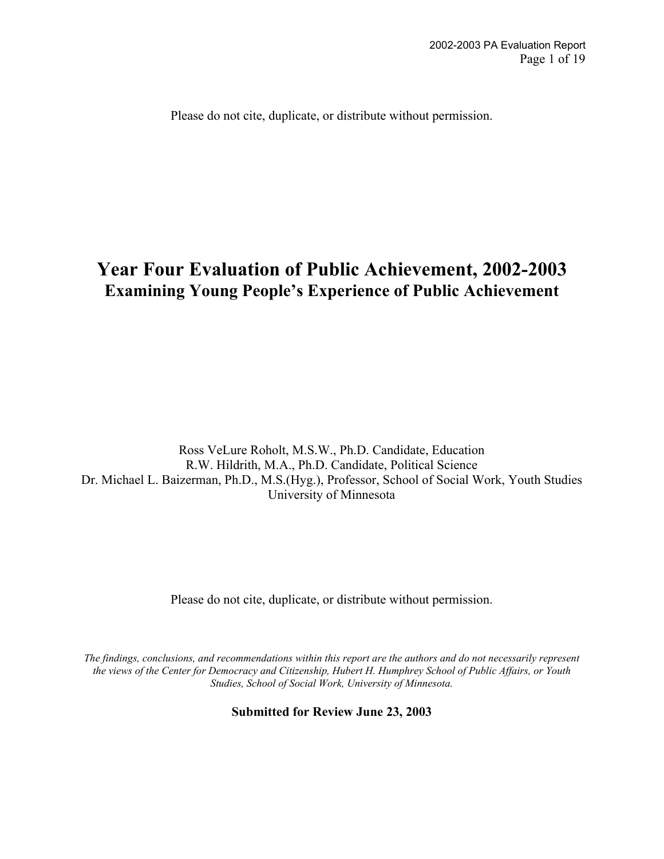Please do not cite, duplicate, or distribute without permission.

# **Year Four Evaluation of Public Achievement, 2002-2003 Examining Young People's Experience of Public Achievement**

Ross VeLure Roholt, M.S.W., Ph.D. Candidate, Education R.W. Hildrith, M.A., Ph.D. Candidate, Political Science Dr. Michael L. Baizerman, Ph.D., M.S.(Hyg.), Professor, School of Social Work, Youth Studies University of Minnesota

Please do not cite, duplicate, or distribute without permission.

*The findings, conclusions, and recommendations within this report are the authors and do not necessarily represent the views of the Center for Democracy and Citizenship, Hubert H. Humphrey School of Public Affairs, or Youth Studies, School of Social Work, University of Minnesota.*

**Submitted for Review June 23, 2003**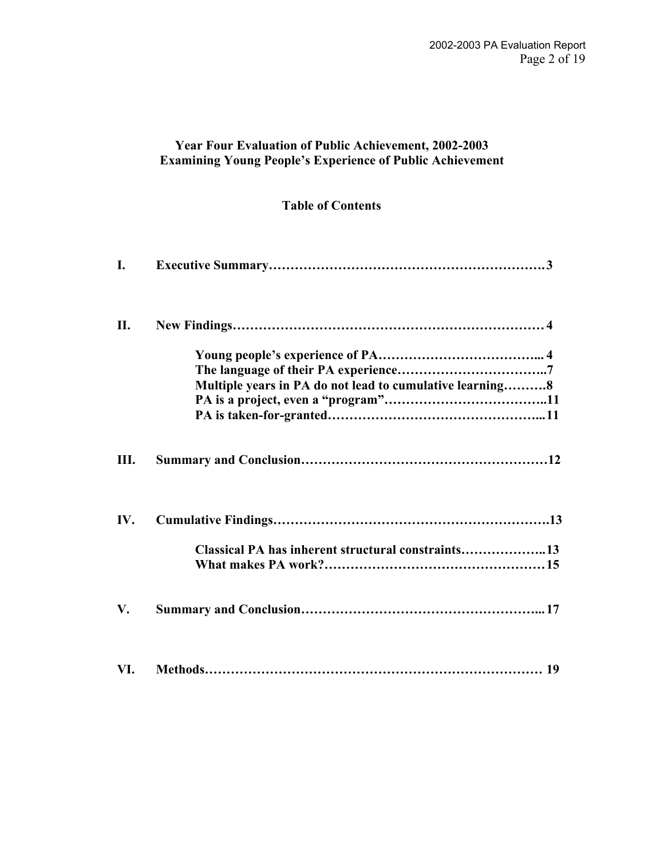# **Year Four Evaluation of Public Achievement, 2002-2003 Examining Young People's Experience of Public Achievement**

# **Table of Contents**

| $\mathbf{I}$ . |                                                          |
|----------------|----------------------------------------------------------|
| П.             |                                                          |
|                | Multiple years in PA do not lead to cumulative learning8 |
|                |                                                          |
| Ш.             |                                                          |
| IV.            |                                                          |
|                | Classical PA has inherent structural constraints13       |
| V.             |                                                          |
| VI.            |                                                          |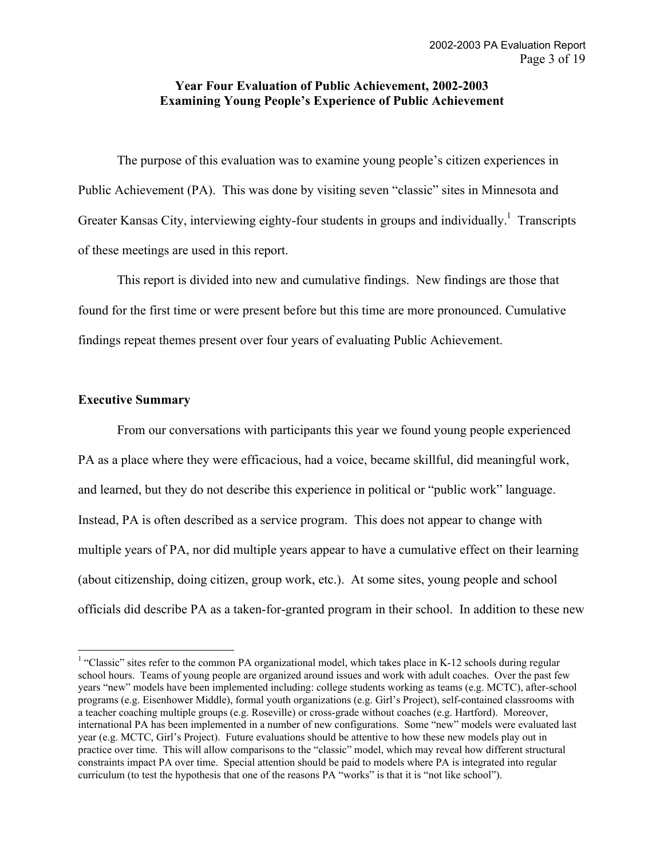### **Year Four Evaluation of Public Achievement, 2002-2003 Examining Young People's Experience of Public Achievement**

The purpose of this evaluation was to examine young people's citizen experiences in Public Achievement (PA). This was done by visiting seven "classic" sites in Minnesota and Greater Kansas City, interviewing eighty-four students in groups and individually.<sup>1</sup> Transcripts of these meetings are used in this report.

This report is divided into new and cumulative findings. New findings are those that found for the first time or were present before but this time are more pronounced. Cumulative findings repeat themes present over four years of evaluating Public Achievement.

#### **Executive Summary**

From our conversations with participants this year we found young people experienced PA as a place where they were efficacious, had a voice, became skillful, did meaningful work, and learned, but they do not describe this experience in political or "public work" language. Instead, PA is often described as a service program. This does not appear to change with multiple years of PA, nor did multiple years appear to have a cumulative effect on their learning (about citizenship, doing citizen, group work, etc.). At some sites, young people and school officials did describe PA as a taken-for-granted program in their school. In addition to these new

 $\frac{1}{1}$ <sup>1</sup> "Classic" sites refer to the common PA organizational model, which takes place in K-12 schools during regular school hours. Teams of young people are organized around issues and work with adult coaches. Over the past few years "new" models have been implemented including: college students working as teams (e.g. MCTC), after-school programs (e.g. Eisenhower Middle), formal youth organizations (e.g. Girl's Project), self-contained classrooms with a teacher coaching multiple groups (e.g. Roseville) or cross-grade without coaches (e.g. Hartford). Moreover, international PA has been implemented in a number of new configurations. Some "new" models were evaluated last year (e.g. MCTC, Girl's Project). Future evaluations should be attentive to how these new models play out in practice over time. This will allow comparisons to the "classic" model, which may reveal how different structural constraints impact PA over time. Special attention should be paid to models where PA is integrated into regular curriculum (to test the hypothesis that one of the reasons PA "works" is that it is "not like school").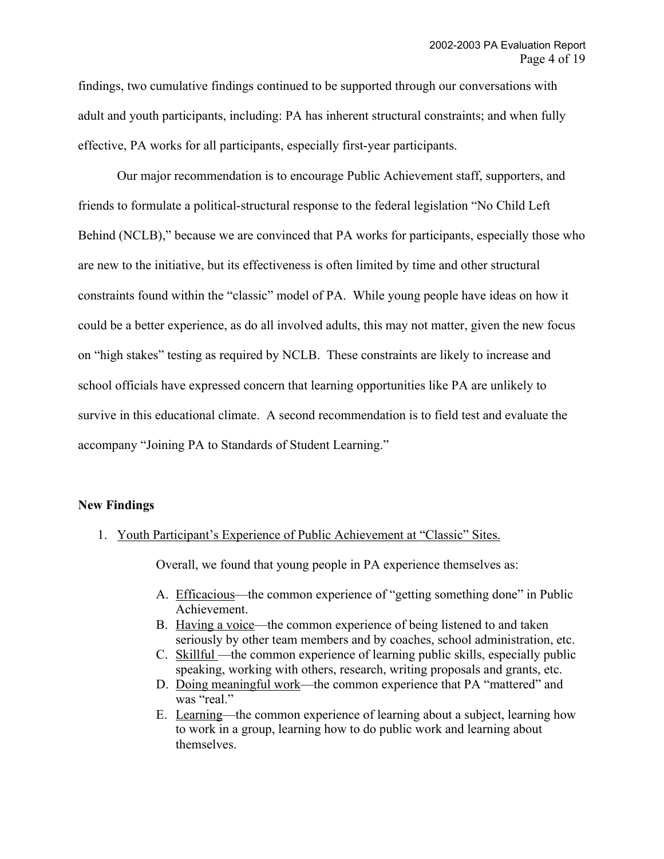findings, two cumulative findings continued to be supported through our conversations with adult and youth participants, including: PA has inherent structural constraints; and when fully effective, PA works for all participants, especially first-year participants.

Our major recommendation is to encourage Public Achievement staff, supporters, and friends to formulate a political-structural response to the federal legislation "No Child Left Behind (NCLB)," because we are convinced that PA works for participants, especially those who are new to the initiative, but its effectiveness is often limited by time and other structural constraints found within the "classic" model of PA. While young people have ideas on how it could be a better experience, as do all involved adults, this may not matter, given the new focus on "high stakes" testing as required by NCLB. These constraints are likely to increase and school officials have expressed concern that learning opportunities like PA are unlikely to survive in this educational climate. A second recommendation is to field test and evaluate the accompany "Joining PA to Standards of Student Learning."

#### **New Findings**

1. Youth Participant's Experience of Public Achievement at "Classic" Sites.

Overall, we found that young people in PA experience themselves as:

- A. Efficacious—the common experience of "getting something done" in Public Achievement.
- B. Having a voice—the common experience of being listened to and taken seriously by other team members and by coaches, school administration, etc.
- C. Skillful —the common experience of learning public skills, especially public speaking, working with others, research, writing proposals and grants, etc.
- D. Doing meaningful work—the common experience that PA "mattered" and was "real."
- E. Learning—the common experience of learning about a subject, learning how to work in a group, learning how to do public work and learning about themselves.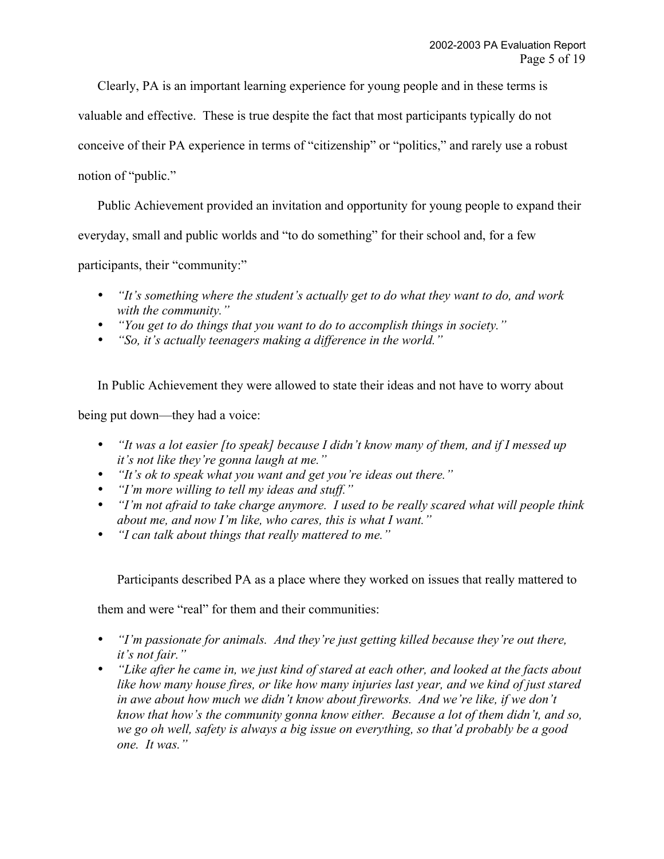Clearly, PA is an important learning experience for young people and in these terms is

valuable and effective. These is true despite the fact that most participants typically do not

conceive of their PA experience in terms of "citizenship" or "politics," and rarely use a robust

notion of "public."

Public Achievement provided an invitation and opportunity for young people to expand their

everyday, small and public worlds and "to do something" for their school and, for a few

participants, their "community:"

*"It's something where the student's actually get to do what they want to do, and work with the community."*

*"You get to do things that you want to do to accomplish things in society." "So, it's actually teenagers making a difference in the world."*

In Public Achievement they were allowed to state their ideas and not have to worry about

being put down—they had a voice:

*"It was a lot easier [to speak] because I didn't know many of them, and if I messed up it's not like they're gonna laugh at me." "It's ok to speak what you want and get you're ideas out there." "I'm more willing to tell my ideas and stuff." "I'm not afraid to take charge anymore. I used to be really scared what will people think about me, and now I'm like, who cares, this is what I want." "I can talk about things that really mattered to me."*

Participants described PA as a place where they worked on issues that really mattered to

them and were "real" for them and their communities:

*"I'm passionate for animals. And they're just getting killed because they're out there, it's not fair."*

*"Like after he came in, we just kind of stared at each other, and looked at the facts about like how many house fires, or like how many injuries last year, and we kind of just stared in awe about how much we didn't know about fireworks. And we're like, if we don't know that how's the community gonna know either. Because a lot of them didn't, and so, we go oh well, safety is always a big issue on everything, so that'd probably be a good one. It was."*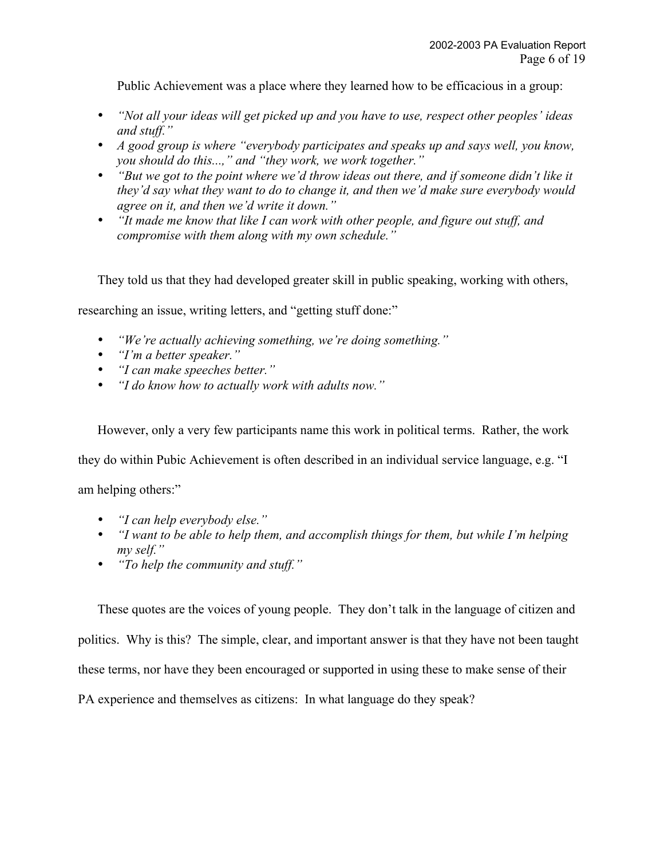Public Achievement was a place where they learned how to be efficacious in a group:

*"Not all your ideas will get picked up and you have to use, respect other peoples' ideas and stuff."*

*A good group is where "everybody participates and speaks up and says well, you know, you should do this...," and "they work, we work together."*

*"But we got to the point where we'd throw ideas out there, and if someone didn't like it they'd say what they want to do to change it, and then we'd make sure everybody would agree on it, and then we'd write it down."*

*"It made me know that like I can work with other people, and figure out stuff, and compromise with them along with my own schedule."*

They told us that they had developed greater skill in public speaking, working with others,

researching an issue, writing letters, and "getting stuff done:"

*"We're actually achieving something, we're doing something." "I'm a better speaker." "I can make speeches better." "I do know how to actually work with adults now."*

However, only a very few participants name this work in political terms. Rather, the work they do within Pubic Achievement is often described in an individual service language, e.g. "I

am helping others:"

*"I can help everybody else." "I want to be able to help them, and accomplish things for them, but while I'm helping my self." "To help the community and stuff."*

These quotes are the voices of young people. They don't talk in the language of citizen and politics. Why is this? The simple, clear, and important answer is that they have not been taught these terms, nor have they been encouraged or supported in using these to make sense of their PA experience and themselves as citizens: In what language do they speak?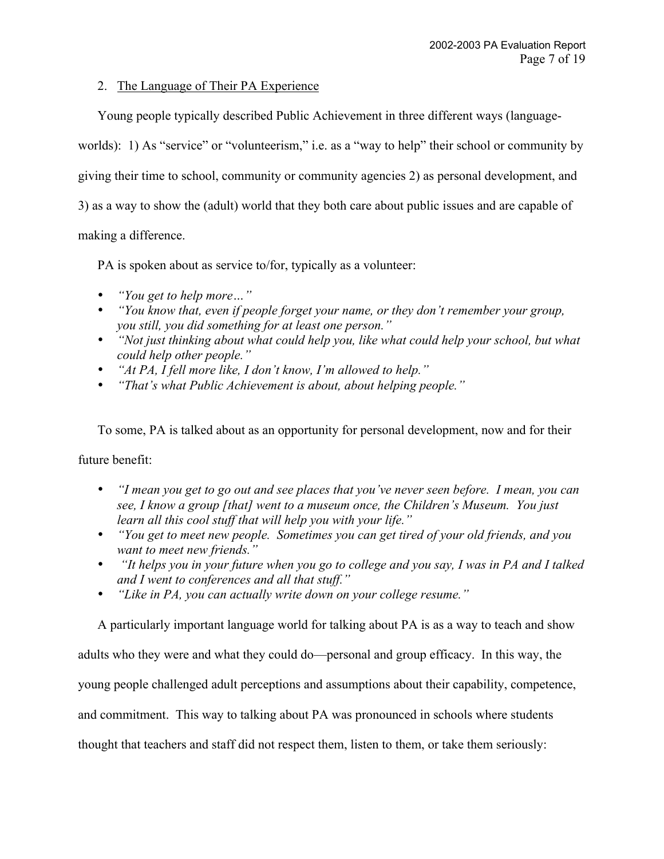## 2. The Language of Their PA Experience

Young people typically described Public Achievement in three different ways (language-

worlds): 1) As "service" or "volunteerism," i.e. as a "way to help" their school or community by

giving their time to school, community or community agencies 2) as personal development, and

3) as a way to show the (adult) world that they both care about public issues and are capable of

making a difference.

PA is spoken about as service to/for, typically as a volunteer:

*"You get to help more…" "You know that, even if people forget your name, or they don't remember your group, you still, you did something for at least one person." "Not just thinking about what could help you, like what could help your school, but what could help other people." "At PA, I fell more like, I don't know, I'm allowed to help." "That's what Public Achievement is about, about helping people."*

To some, PA is talked about as an opportunity for personal development, now and for their

future benefit:

*"I mean you get to go out and see places that you've never seen before. I mean, you can see, I know a group [that] went to a museum once, the Children's Museum. You just learn all this cool stuff that will help you with your life."*

*"You get to meet new people. Sometimes you can get tired of your old friends, and you want to meet new friends."*

 *"It helps you in your future when you go to college and you say, I was in PA and I talked and I went to conferences and all that stuff."*

*"Like in PA, you can actually write down on your college resume."*

A particularly important language world for talking about PA is as a way to teach and show

adults who they were and what they could do—personal and group efficacy. In this way, the

young people challenged adult perceptions and assumptions about their capability, competence,

and commitment. This way to talking about PA was pronounced in schools where students

thought that teachers and staff did not respect them, listen to them, or take them seriously: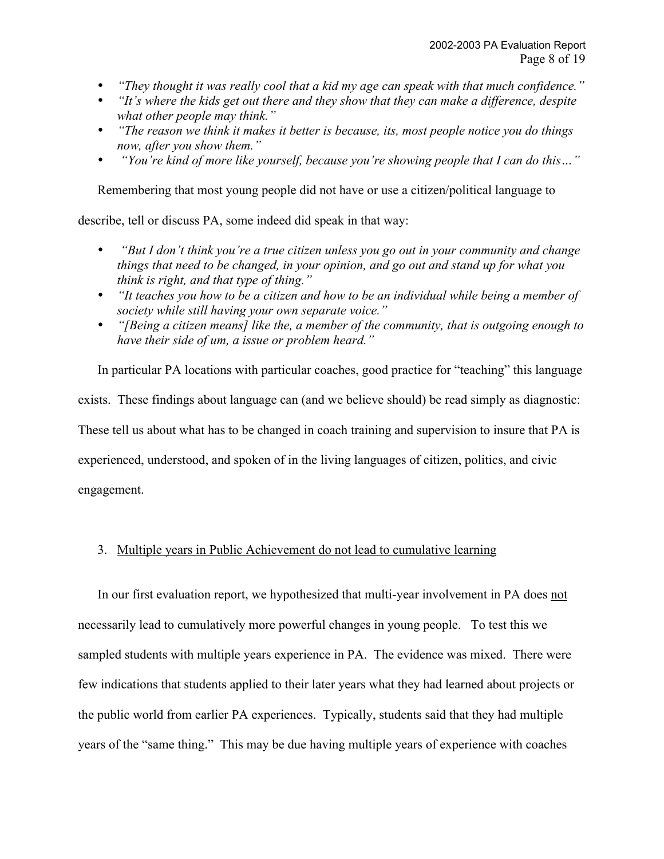*"They thought it was really cool that a kid my age can speak with that much confidence." "It's where the kids get out there and they show that they can make a difference, despite what other people may think."*

*"The reason we think it makes it better is because, its, most people notice you do things now, after you show them."*

 *"You're kind of more like yourself, because you're showing people that I can do this…"*

Remembering that most young people did not have or use a citizen/political language to

describe, tell or discuss PA, some indeed did speak in that way:

 *"But I don't think you're a true citizen unless you go out in your community and change things that need to be changed, in your opinion, and go out and stand up for what you think is right, and that type of thing."*

*"It teaches you how to be a citizen and how to be an individual while being a member of society while still having your own separate voice."*

*"[Being a citizen means] like the, a member of the community, that is outgoing enough to have their side of um, a issue or problem heard."*

In particular PA locations with particular coaches, good practice for "teaching" this language exists. These findings about language can (and we believe should) be read simply as diagnostic: These tell us about what has to be changed in coach training and supervision to insure that PA is experienced, understood, and spoken of in the living languages of citizen, politics, and civic engagement.

# 3. Multiple years in Public Achievement do not lead to cumulative learning

In our first evaluation report, we hypothesized that multi-year involvement in PA does not necessarily lead to cumulatively more powerful changes in young people. To test this we sampled students with multiple years experience in PA. The evidence was mixed. There were few indications that students applied to their later years what they had learned about projects or the public world from earlier PA experiences. Typically, students said that they had multiple years of the "same thing." This may be due having multiple years of experience with coaches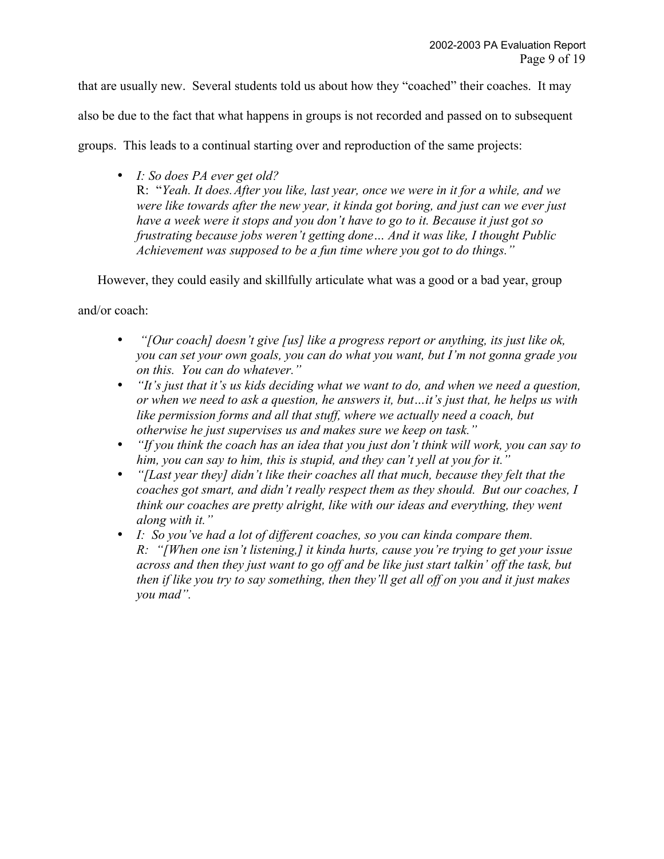that are usually new. Several students told us about how they "coached" their coaches. It may

also be due to the fact that what happens in groups is not recorded and passed on to subsequent

groups. This leads to a continual starting over and reproduction of the same projects:

*I: So does PA ever get old?* R: "*Yeah. It does.After you like, last year, once we were in it for a while, and we were like towards after the new year, it kinda got boring, and just can we ever just have a week were it stops and you don't have to go to it. Because it just got so frustrating because jobs weren't getting done… And it was like, I thought Public Achievement was supposed to be a fun time where you got to do things."*

However, they could easily and skillfully articulate what was a good or a bad year, group

and/or coach:

 *"[Our coach] doesn't give [us] like a progress report or anything, its just like ok, you can set your own goals, you can do what you want, but I'm not gonna grade you on this. You can do whatever."*

*"It's just that it's us kids deciding what we want to do, and when we need a question, or when we need to ask a question, he answers it, but…it's just that, he helps us with like permission forms and all that stuff, where we actually need a coach, but otherwise he just supervises us and makes sure we keep on task."*

*"If you think the coach has an idea that you just don't think will work, you can say to him, you can say to him, this is stupid, and they can't yell at you for it."*

*"[Last year they] didn't like their coaches all that much, because they felt that the coaches got smart, and didn't really respect them as they should. But our coaches, I think our coaches are pretty alright, like with our ideas and everything, they went along with it."*

*I: So you've had a lot of different coaches, so you can kinda compare them.*

*R: "[When one isn't listening,] it kinda hurts, cause you're trying to get your issue across and then they just want to go off and be like just start talkin' off the task, but then if like you try to say something, then they'll get all off on you and it just makes you mad".*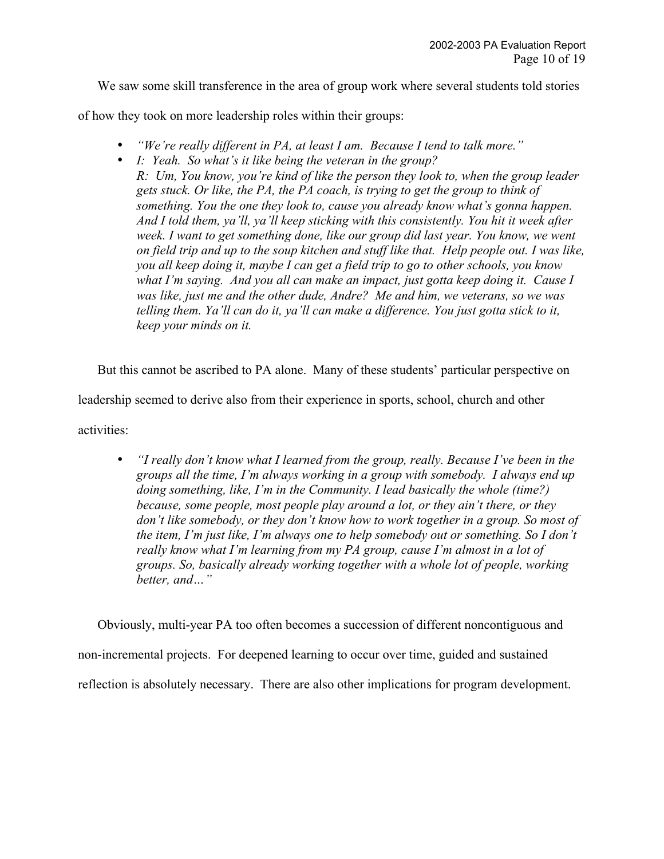We saw some skill transference in the area of group work where several students told stories

of how they took on more leadership roles within their groups:

*"We're really different in PA, at least I am. Because I tend to talk more." I: Yeah. So what's it like being the veteran in the group? R: Um, You know, you're kind of like the person they look to, when the group leader gets stuck. Or like, the PA, the PA coach, is trying to get the group to think of something. You the one they look to, cause you already know what's gonna happen. And I told them, ya'll, ya'll keep sticking with this consistently. You hit it week after week. I want to get something done, like our group did last year. You know, we went on field trip and up to the soup kitchen and stuff like that. Help people out. I was like, you all keep doing it, maybe I can get a field trip to go to other schools, you know what I'm saying. And you all can make an impact, just gotta keep doing it. Cause I was like, just me and the other dude, Andre? Me and him, we veterans, so we was telling them. Ya'll can do it, ya'll can make a difference. You just gotta stick to it, keep your minds on it.*

But this cannot be ascribed to PA alone. Many of these students' particular perspective on

leadership seemed to derive also from their experience in sports, school, church and other

activities:

*"I really don't know what I learned from the group, really. Because I've been in the groups all the time, I'm always working in a group with somebody. I always end up doing something, like, I'm in the Community. I lead basically the whole (time?) because, some people, most people play around a lot, or they ain't there, or they don't like somebody, or they don't know how to work together in a group. So most of the item, I'm just like, I'm always one to help somebody out or something. So I don't really know what I'm learning from my PA group, cause I'm almost in a lot of groups. So, basically already working together with a whole lot of people, working better, and…"*

Obviously, multi-year PA too often becomes a succession of different noncontiguous and non-incremental projects. For deepened learning to occur over time, guided and sustained reflection is absolutely necessary. There are also other implications for program development.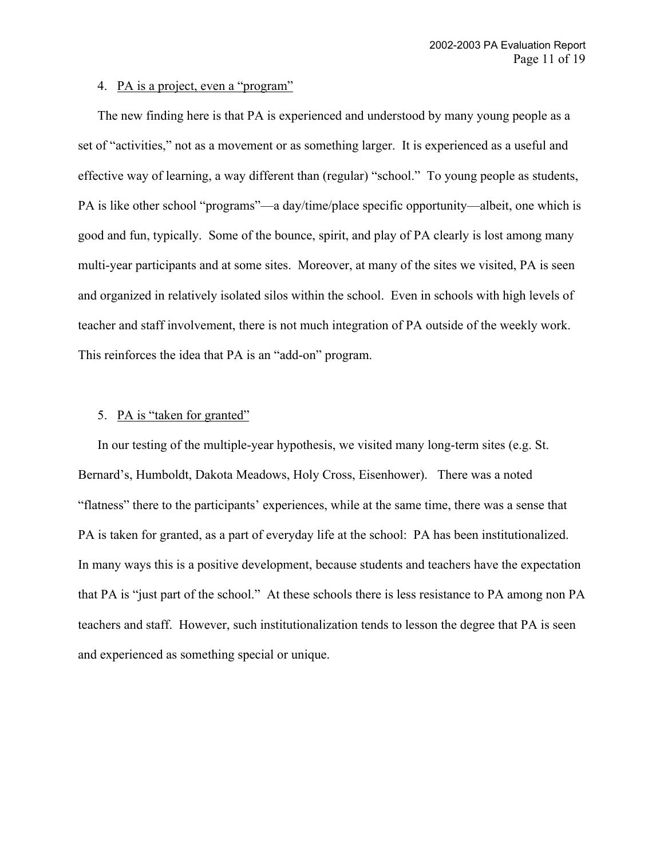#### 4. PA is a project, even a "program"

The new finding here is that PA is experienced and understood by many young people as a set of "activities," not as a movement or as something larger. It is experienced as a useful and effective way of learning, a way different than (regular) "school." To young people as students, PA is like other school "programs"—a day/time/place specific opportunity—albeit, one which is good and fun, typically. Some of the bounce, spirit, and play of PA clearly is lost among many multi-year participants and at some sites. Moreover, at many of the sites we visited, PA is seen and organized in relatively isolated silos within the school. Even in schools with high levels of teacher and staff involvement, there is not much integration of PA outside of the weekly work. This reinforces the idea that PA is an "add-on" program.

#### 5. PA is "taken for granted"

In our testing of the multiple-year hypothesis, we visited many long-term sites (e.g. St. Bernard's, Humboldt, Dakota Meadows, Holy Cross, Eisenhower). There was a noted "flatness" there to the participants' experiences, while at the same time, there was a sense that PA is taken for granted, as a part of everyday life at the school: PA has been institutionalized. In many ways this is a positive development, because students and teachers have the expectation that PA is "just part of the school." At these schools there is less resistance to PA among non PA teachers and staff. However, such institutionalization tends to lesson the degree that PA is seen and experienced as something special or unique.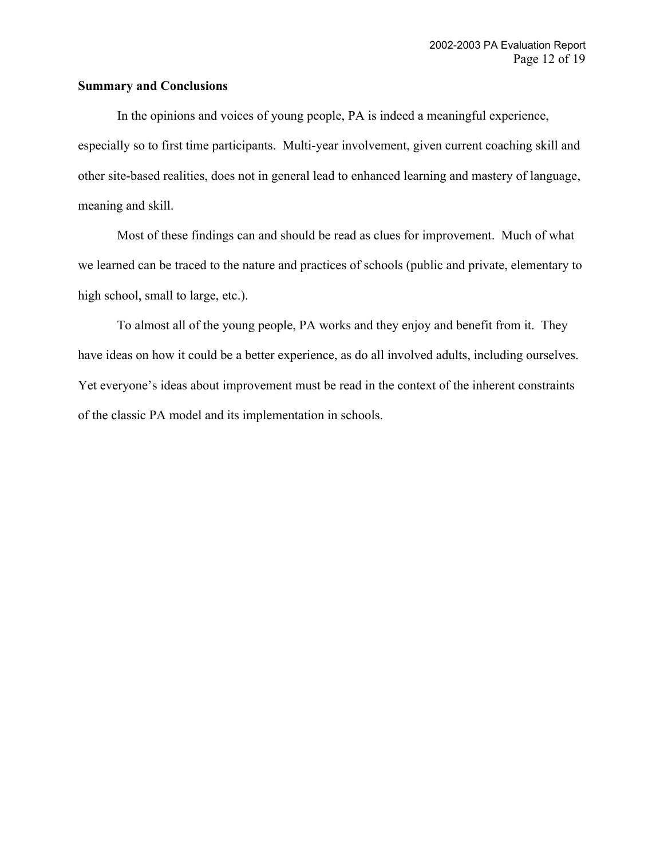#### **Summary and Conclusions**

In the opinions and voices of young people, PA is indeed a meaningful experience, especially so to first time participants. Multi-year involvement, given current coaching skill and other site-based realities, does not in general lead to enhanced learning and mastery of language, meaning and skill.

Most of these findings can and should be read as clues for improvement. Much of what we learned can be traced to the nature and practices of schools (public and private, elementary to high school, small to large, etc.).

To almost all of the young people, PA works and they enjoy and benefit from it. They have ideas on how it could be a better experience, as do all involved adults, including ourselves. Yet everyone's ideas about improvement must be read in the context of the inherent constraints of the classic PA model and its implementation in schools.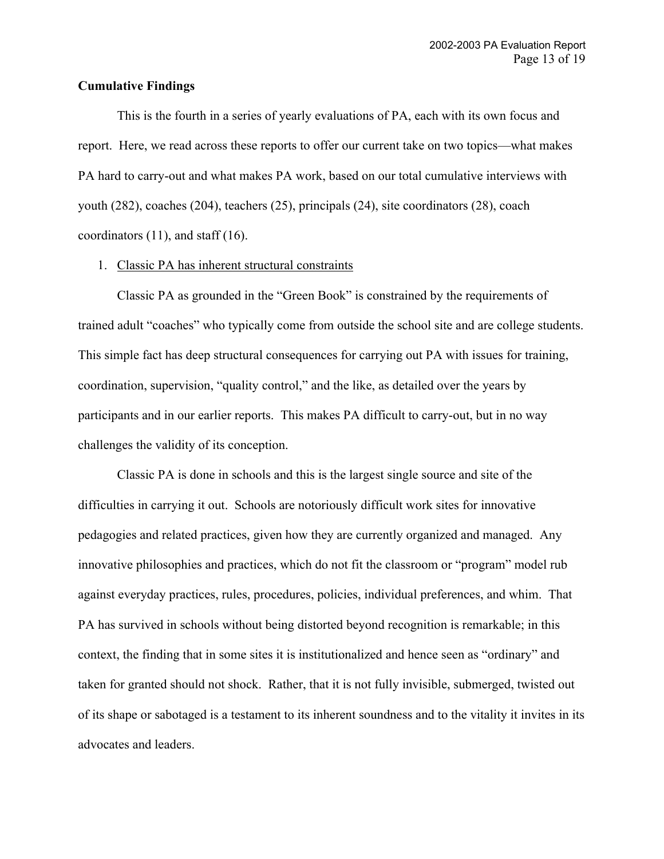#### **Cumulative Findings**

This is the fourth in a series of yearly evaluations of PA, each with its own focus and report. Here, we read across these reports to offer our current take on two topics—what makes PA hard to carry-out and what makes PA work, based on our total cumulative interviews with youth (282), coaches (204), teachers (25), principals (24), site coordinators (28), coach coordinators  $(11)$ , and staff  $(16)$ .

#### 1. Classic PA has inherent structural constraints

Classic PA as grounded in the "Green Book" is constrained by the requirements of trained adult "coaches" who typically come from outside the school site and are college students. This simple fact has deep structural consequences for carrying out PA with issues for training, coordination, supervision, "quality control," and the like, as detailed over the years by participants and in our earlier reports. This makes PA difficult to carry-out, but in no way challenges the validity of its conception.

Classic PA is done in schools and this is the largest single source and site of the difficulties in carrying it out. Schools are notoriously difficult work sites for innovative pedagogies and related practices, given how they are currently organized and managed. Any innovative philosophies and practices, which do not fit the classroom or "program" model rub against everyday practices, rules, procedures, policies, individual preferences, and whim. That PA has survived in schools without being distorted beyond recognition is remarkable; in this context, the finding that in some sites it is institutionalized and hence seen as "ordinary" and taken for granted should not shock. Rather, that it is not fully invisible, submerged, twisted out of its shape or sabotaged is a testament to its inherent soundness and to the vitality it invites in its advocates and leaders.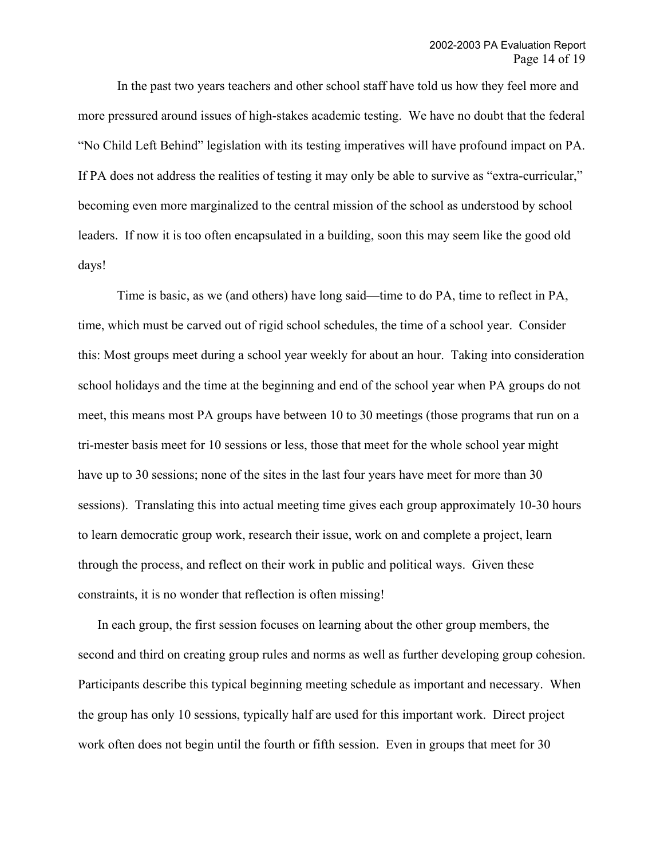In the past two years teachers and other school staff have told us how they feel more and more pressured around issues of high-stakes academic testing. We have no doubt that the federal "No Child Left Behind" legislation with its testing imperatives will have profound impact on PA. If PA does not address the realities of testing it may only be able to survive as "extra-curricular," becoming even more marginalized to the central mission of the school as understood by school leaders. If now it is too often encapsulated in a building, soon this may seem like the good old days!

Time is basic, as we (and others) have long said—time to do PA, time to reflect in PA, time, which must be carved out of rigid school schedules, the time of a school year. Consider this: Most groups meet during a school year weekly for about an hour. Taking into consideration school holidays and the time at the beginning and end of the school year when PA groups do not meet, this means most PA groups have between 10 to 30 meetings (those programs that run on a tri-mester basis meet for 10 sessions or less, those that meet for the whole school year might have up to 30 sessions; none of the sites in the last four years have meet for more than 30 sessions). Translating this into actual meeting time gives each group approximately 10-30 hours to learn democratic group work, research their issue, work on and complete a project, learn through the process, and reflect on their work in public and political ways. Given these constraints, it is no wonder that reflection is often missing!

In each group, the first session focuses on learning about the other group members, the second and third on creating group rules and norms as well as further developing group cohesion. Participants describe this typical beginning meeting schedule as important and necessary. When the group has only 10 sessions, typically half are used for this important work. Direct project work often does not begin until the fourth or fifth session. Even in groups that meet for 30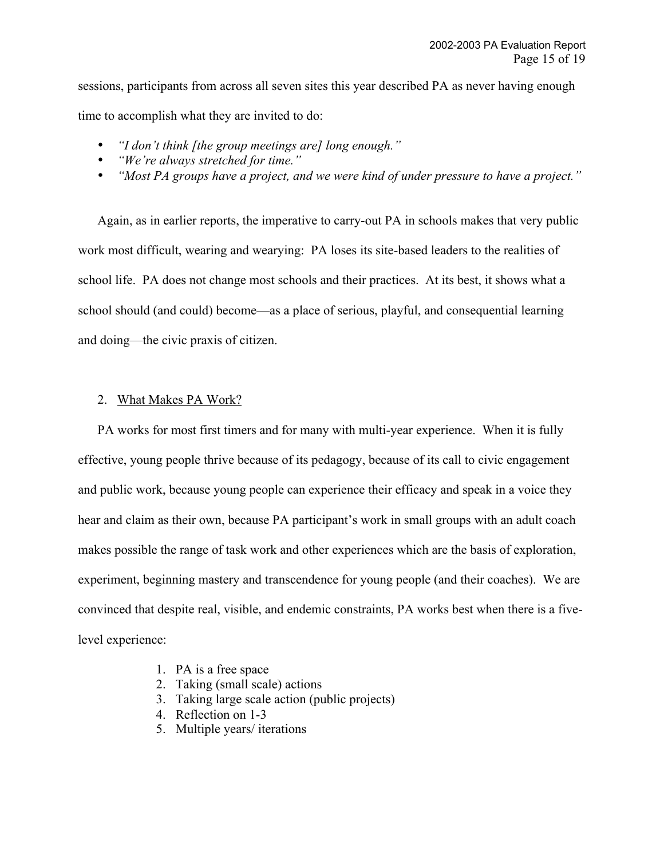sessions, participants from across all seven sites this year described PA as never having enough time to accomplish what they are invited to do:

*"I don't think [the group meetings are] long enough." "We're always stretched for time." "Most PA groups have a project, and we were kind of under pressure to have a project."*

Again, as in earlier reports, the imperative to carry-out PA in schools makes that very public work most difficult, wearing and wearying: PA loses its site-based leaders to the realities of school life. PA does not change most schools and their practices. At its best, it shows what a school should (and could) become—as a place of serious, playful, and consequential learning and doing—the civic praxis of citizen.

# 2. What Makes PA Work?

PA works for most first timers and for many with multi-year experience. When it is fully effective, young people thrive because of its pedagogy, because of its call to civic engagement and public work, because young people can experience their efficacy and speak in a voice they hear and claim as their own, because PA participant's work in small groups with an adult coach makes possible the range of task work and other experiences which are the basis of exploration, experiment, beginning mastery and transcendence for young people (and their coaches). We are convinced that despite real, visible, and endemic constraints, PA works best when there is a fivelevel experience:

- 1. PA is a free space
- 2. Taking (small scale) actions
- 3. Taking large scale action (public projects)
- 4. Reflection on 1-3
- 5. Multiple years/ iterations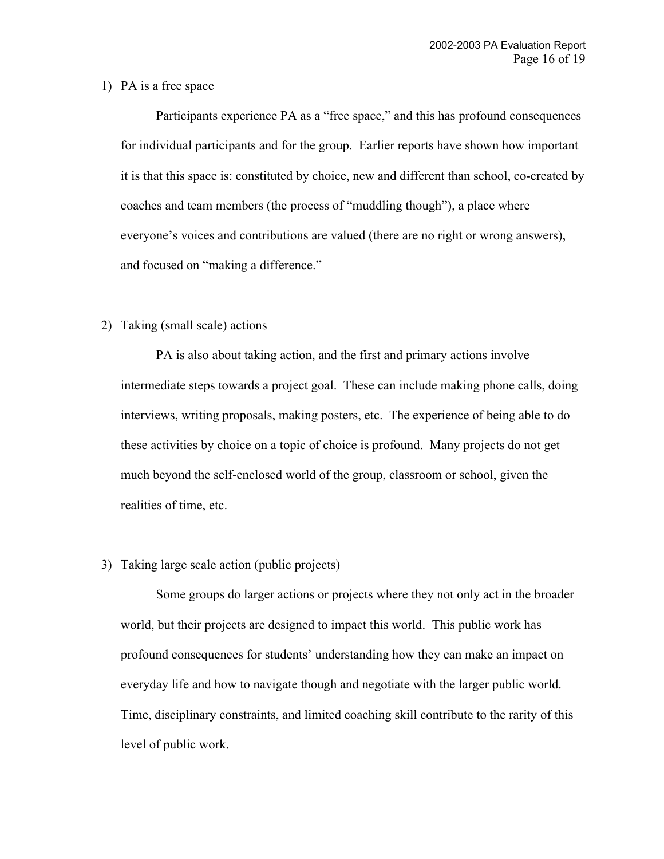#### 1) PA is a free space

Participants experience PA as a "free space," and this has profound consequences for individual participants and for the group. Earlier reports have shown how important it is that this space is: constituted by choice, new and different than school, co-created by coaches and team members (the process of "muddling though"), a place where everyone's voices and contributions are valued (there are no right or wrong answers), and focused on "making a difference."

### 2) Taking (small scale) actions

PA is also about taking action, and the first and primary actions involve intermediate steps towards a project goal. These can include making phone calls, doing interviews, writing proposals, making posters, etc. The experience of being able to do these activities by choice on a topic of choice is profound. Many projects do not get much beyond the self-enclosed world of the group, classroom or school, given the realities of time, etc.

#### 3) Taking large scale action (public projects)

Some groups do larger actions or projects where they not only act in the broader world, but their projects are designed to impact this world. This public work has profound consequences for students' understanding how they can make an impact on everyday life and how to navigate though and negotiate with the larger public world. Time, disciplinary constraints, and limited coaching skill contribute to the rarity of this level of public work.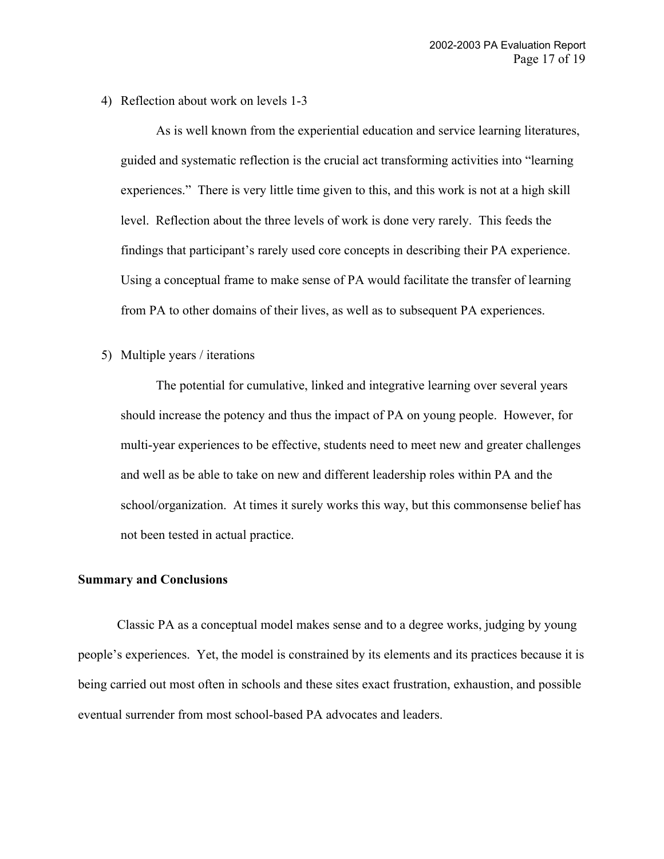4) Reflection about work on levels 1-3

As is well known from the experiential education and service learning literatures, guided and systematic reflection is the crucial act transforming activities into "learning experiences." There is very little time given to this, and this work is not at a high skill level. Reflection about the three levels of work is done very rarely. This feeds the findings that participant's rarely used core concepts in describing their PA experience. Using a conceptual frame to make sense of PA would facilitate the transfer of learning from PA to other domains of their lives, as well as to subsequent PA experiences.

5) Multiple years / iterations

The potential for cumulative, linked and integrative learning over several years should increase the potency and thus the impact of PA on young people. However, for multi-year experiences to be effective, students need to meet new and greater challenges and well as be able to take on new and different leadership roles within PA and the school/organization. At times it surely works this way, but this commonsense belief has not been tested in actual practice.

#### **Summary and Conclusions**

Classic PA as a conceptual model makes sense and to a degree works, judging by young people's experiences. Yet, the model is constrained by its elements and its practices because it is being carried out most often in schools and these sites exact frustration, exhaustion, and possible eventual surrender from most school-based PA advocates and leaders.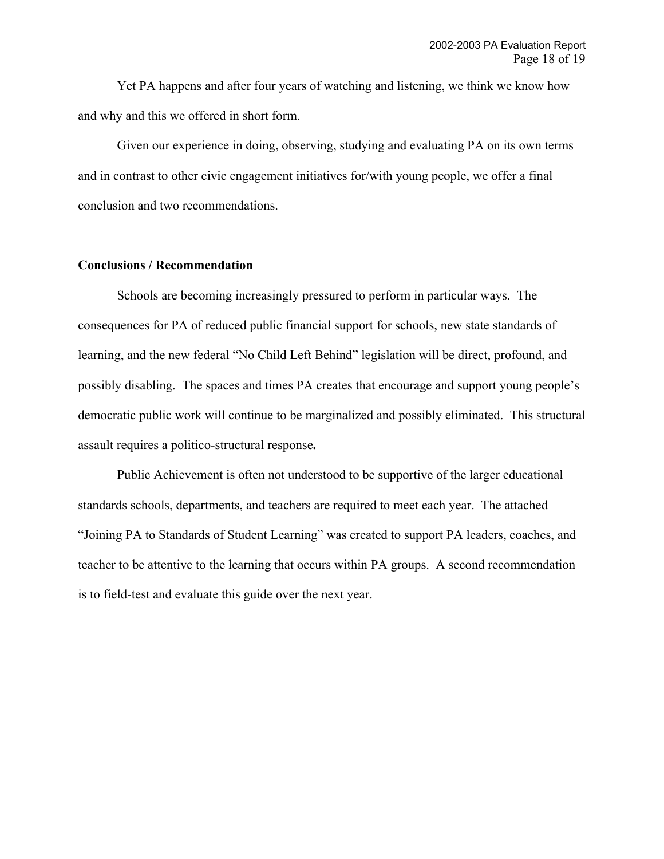Yet PA happens and after four years of watching and listening, we think we know how and why and this we offered in short form.

Given our experience in doing, observing, studying and evaluating PA on its own terms and in contrast to other civic engagement initiatives for/with young people, we offer a final conclusion and two recommendations.

#### **Conclusions / Recommendation**

Schools are becoming increasingly pressured to perform in particular ways. The consequences for PA of reduced public financial support for schools, new state standards of learning, and the new federal "No Child Left Behind" legislation will be direct, profound, and possibly disabling. The spaces and times PA creates that encourage and support young people's democratic public work will continue to be marginalized and possibly eliminated. This structural assault requires a politico-structural response**.**

Public Achievement is often not understood to be supportive of the larger educational standards schools, departments, and teachers are required to meet each year. The attached "Joining PA to Standards of Student Learning" was created to support PA leaders, coaches, and teacher to be attentive to the learning that occurs within PA groups. A second recommendation is to field-test and evaluate this guide over the next year.